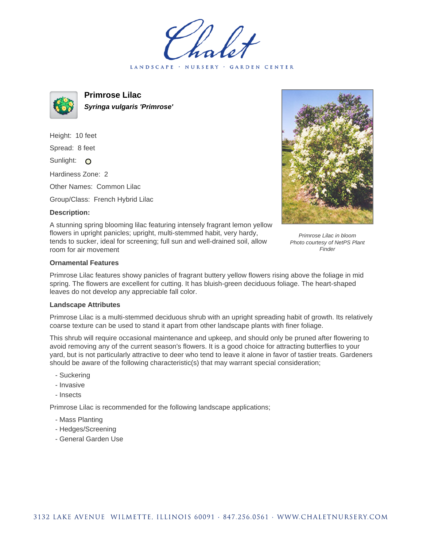LANDSCAPE · NURSERY · GARDEN CENTER



**Primrose Lilac Syringa vulgaris 'Primrose'**

Height: 10 feet Spread: 8 feet Sunlight: O Hardiness Zone: 2

Other Names: Common Lilac

Group/Class: French Hybrid Lilac

## **Description:**



A stunning spring blooming lilac featuring intensely fragrant lemon yellow flowers in upright panicles; upright, multi-stemmed habit, very hardy, tends to sucker, ideal for screening; full sun and well-drained soil, allow room for air movement

Primrose Lilac in bloom Photo courtesy of NetPS Plant Finder

## **Ornamental Features**

Primrose Lilac features showy panicles of fragrant buttery yellow flowers rising above the foliage in mid spring. The flowers are excellent for cutting. It has bluish-green deciduous foliage. The heart-shaped leaves do not develop any appreciable fall color.

## **Landscape Attributes**

Primrose Lilac is a multi-stemmed deciduous shrub with an upright spreading habit of growth. Its relatively coarse texture can be used to stand it apart from other landscape plants with finer foliage.

This shrub will require occasional maintenance and upkeep, and should only be pruned after flowering to avoid removing any of the current season's flowers. It is a good choice for attracting butterflies to your yard, but is not particularly attractive to deer who tend to leave it alone in favor of tastier treats. Gardeners should be aware of the following characteristic(s) that may warrant special consideration;

- Suckering
- Invasive
- Insects

Primrose Lilac is recommended for the following landscape applications;

- Mass Planting
- Hedges/Screening
- General Garden Use